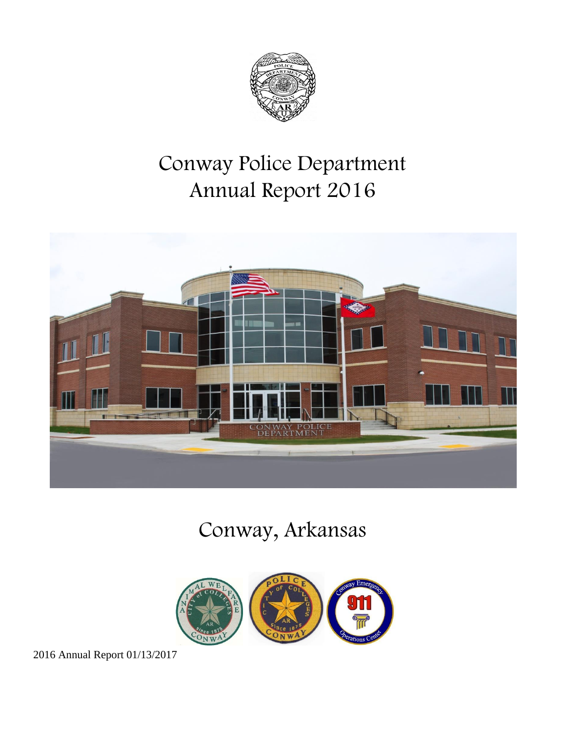

# Conway Police Department Annual Report 2016



# Conway, Arkansas

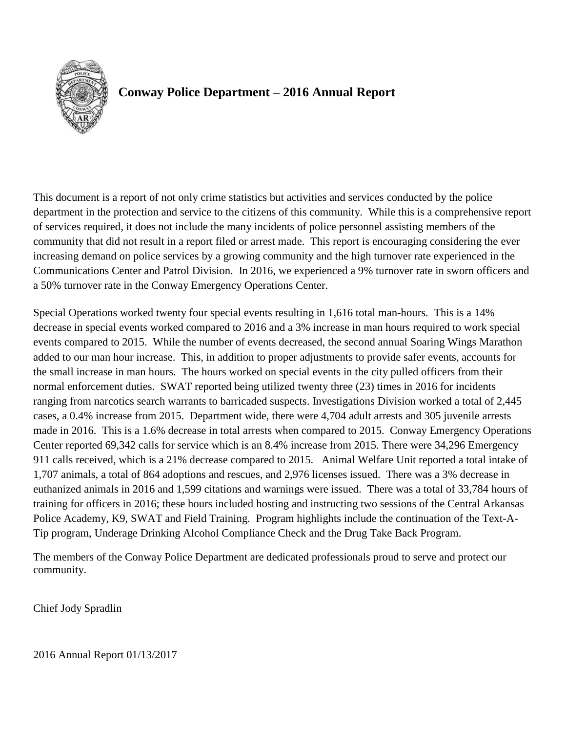

# **Conway Police Department – 2016 Annual Report**

This document is a report of not only crime statistics but activities and services conducted by the police department in the protection and service to the citizens of this community. While this is a comprehensive report of services required, it does not include the many incidents of police personnel assisting members of the community that did not result in a report filed or arrest made. This report is encouraging considering the ever increasing demand on police services by a growing community and the high turnover rate experienced in the Communications Center and Patrol Division. In 2016, we experienced a 9% turnover rate in sworn officers and a 50% turnover rate in the Conway Emergency Operations Center.

Special Operations worked twenty four special events resulting in 1,616 total man-hours. This is a 14% decrease in special events worked compared to 2016 and a 3% increase in man hours required to work special events compared to 2015. While the number of events decreased, the second annual Soaring Wings Marathon added to our man hour increase. This, in addition to proper adjustments to provide safer events, accounts for the small increase in man hours. The hours worked on special events in the city pulled officers from their normal enforcement duties. SWAT reported being utilized twenty three (23) times in 2016 for incidents ranging from narcotics search warrants to barricaded suspects. Investigations Division worked a total of 2,445 cases, a 0.4% increase from 2015. Department wide, there were 4,704 adult arrests and 305 juvenile arrests made in 2016. This is a 1.6% decrease in total arrests when compared to 2015. Conway Emergency Operations Center reported 69,342 calls for service which is an 8.4% increase from 2015. There were 34,296 Emergency 911 calls received, which is a 21% decrease compared to 2015. Animal Welfare Unit reported a total intake of 1,707 animals, a total of 864 adoptions and rescues, and 2,976 licenses issued. There was a 3% decrease in euthanized animals in 2016 and 1,599 citations and warnings were issued. There was a total of 33,784 hours of training for officers in 2016; these hours included hosting and instructing two sessions of the Central Arkansas Police Academy, K9, SWAT and Field Training. Program highlights include the continuation of the Text-A-Tip program, Underage Drinking Alcohol Compliance Check and the Drug Take Back Program.

The members of the Conway Police Department are dedicated professionals proud to serve and protect our community.

Chief Jody Spradlin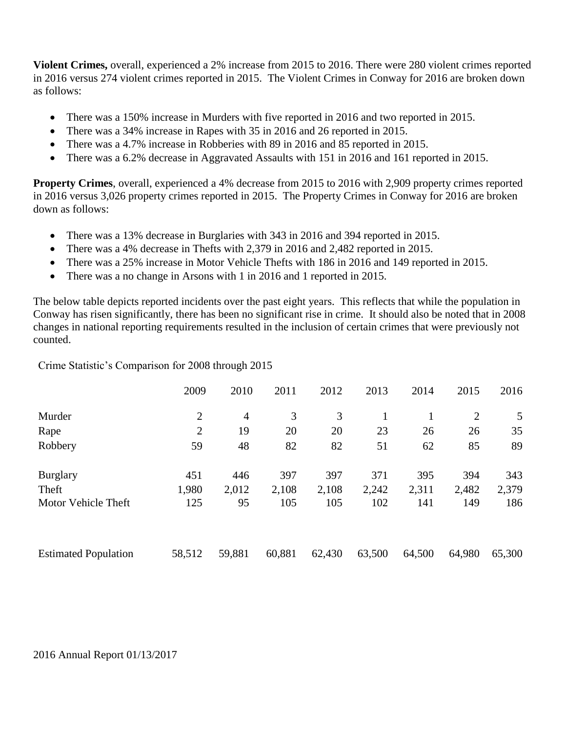**Violent Crimes,** overall, experienced a 2% increase from 2015 to 2016. There were 280 violent crimes reported in 2016 versus 274 violent crimes reported in 2015. The Violent Crimes in Conway for 2016 are broken down as follows:

- There was a 150% increase in Murders with five reported in 2016 and two reported in 2015.
- There was a 34% increase in Rapes with 35 in 2016 and 26 reported in 2015.
- There was a 4.7% increase in Robberies with 89 in 2016 and 85 reported in 2015.
- There was a 6.2% decrease in Aggravated Assaults with 151 in 2016 and 161 reported in 2015.

**Property Crimes**, overall, experienced a 4% decrease from 2015 to 2016 with 2,909 property crimes reported in 2016 versus 3,026 property crimes reported in 2015. The Property Crimes in Conway for 2016 are broken down as follows:

- There was a 13% decrease in Burglaries with 343 in 2016 and 394 reported in 2015.
- There was a 4% decrease in Thefts with 2,379 in 2016 and 2,482 reported in 2015.
- There was a 25% increase in Motor Vehicle Thefts with 186 in 2016 and 149 reported in 2015.
- There was a no change in Arsons with 1 in 2016 and 1 reported in 2015.

The below table depicts reported incidents over the past eight years. This reflects that while the population in Conway has risen significantly, there has been no significant rise in crime. It should also be noted that in 2008 changes in national reporting requirements resulted in the inclusion of certain crimes that were previously not counted.

Crime Statistic's Comparison for 2008 through 2015

|                             | 2009           | 2010           | 2011   | 2012   | 2013   | 2014   | 2015           | 2016   |
|-----------------------------|----------------|----------------|--------|--------|--------|--------|----------------|--------|
| Murder                      | 2              | $\overline{4}$ | 3      | 3      |        |        | $\overline{2}$ | 5      |
| Rape                        | $\overline{2}$ | 19             | 20     | 20     | 23     | 26     | 26             | 35     |
| Robbery                     | 59             | 48             | 82     | 82     | 51     | 62     | 85             | 89     |
| <b>Burglary</b>             | 451            | 446            | 397    | 397    | 371    | 395    | 394            | 343    |
| Theft                       | 1,980          | 2,012          | 2,108  | 2,108  | 2,242  | 2,311  | 2,482          | 2,379  |
| Motor Vehicle Theft         | 125            | 95             | 105    | 105    | 102    | 141    | 149            | 186    |
|                             |                |                |        |        |        |        |                |        |
| <b>Estimated Population</b> | 58,512         | 59,881         | 60,881 | 62,430 | 63,500 | 64,500 | 64,980         | 65,300 |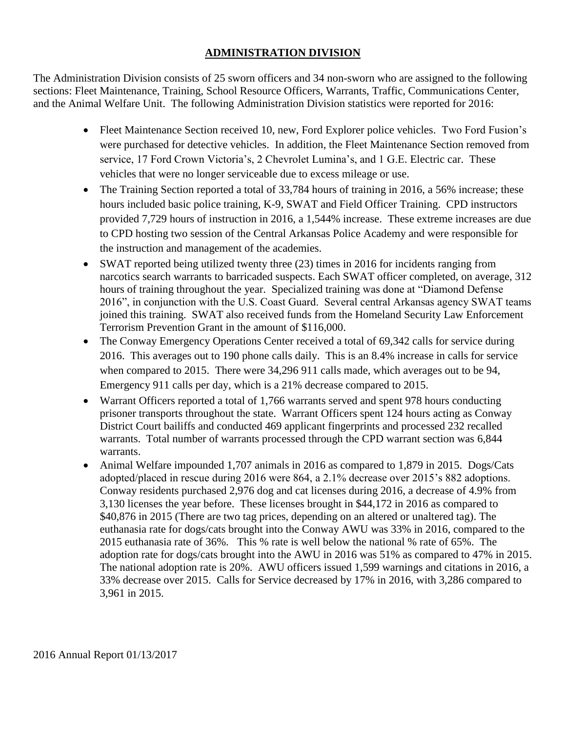## **ADMINISTRATION DIVISION**

The Administration Division consists of 25 sworn officers and 34 non-sworn who are assigned to the following sections: Fleet Maintenance, Training, School Resource Officers, Warrants, Traffic, Communications Center, and the Animal Welfare Unit. The following Administration Division statistics were reported for 2016:

- Fleet Maintenance Section received 10, new, Ford Explorer police vehicles. Two Ford Fusion's were purchased for detective vehicles. In addition, the Fleet Maintenance Section removed from service, 17 Ford Crown Victoria's, 2 Chevrolet Lumina's, and 1 G.E. Electric car. These vehicles that were no longer serviceable due to excess mileage or use.
- The Training Section reported a total of 33,784 hours of training in 2016, a 56% increase; these hours included basic police training, K-9, SWAT and Field Officer Training. CPD instructors provided 7,729 hours of instruction in 2016, a 1,544% increase. These extreme increases are due to CPD hosting two session of the Central Arkansas Police Academy and were responsible for the instruction and management of the academies.
- SWAT reported being utilized twenty three (23) times in 2016 for incidents ranging from narcotics search warrants to barricaded suspects. Each SWAT officer completed, on average, 312 hours of training throughout the year. Specialized training was done at "Diamond Defense 2016", in conjunction with the U.S. Coast Guard. Several central Arkansas agency SWAT teams joined this training. SWAT also received funds from the Homeland Security Law Enforcement Terrorism Prevention Grant in the amount of \$116,000.
- The Conway Emergency Operations Center received a total of 69,342 calls for service during 2016. This averages out to 190 phone calls daily. This is an 8.4% increase in calls for service when compared to 2015. There were 34,296 911 calls made, which averages out to be 94, Emergency 911 calls per day, which is a 21% decrease compared to 2015.
- Warrant Officers reported a total of 1,766 warrants served and spent 978 hours conducting prisoner transports throughout the state. Warrant Officers spent 124 hours acting as Conway District Court bailiffs and conducted 469 applicant fingerprints and processed 232 recalled warrants. Total number of warrants processed through the CPD warrant section was 6,844 warrants.
- Animal Welfare impounded 1,707 animals in 2016 as compared to 1,879 in 2015. Dogs/Cats adopted/placed in rescue during 2016 were 864, a 2.1% decrease over 2015's 882 adoptions. Conway residents purchased 2,976 dog and cat licenses during 2016, a decrease of 4.9% from 3,130 licenses the year before. These licenses brought in \$44,172 in 2016 as compared to \$40,876 in 2015 (There are two tag prices, depending on an altered or unaltered tag). The euthanasia rate for dogs/cats brought into the Conway AWU was 33% in 2016, compared to the 2015 euthanasia rate of 36%. This % rate is well below the national % rate of 65%. The adoption rate for dogs/cats brought into the AWU in 2016 was 51% as compared to 47% in 2015. The national adoption rate is 20%. AWU officers issued 1,599 warnings and citations in 2016, a 33% decrease over 2015. Calls for Service decreased by 17% in 2016, with 3,286 compared to 3,961 in 2015.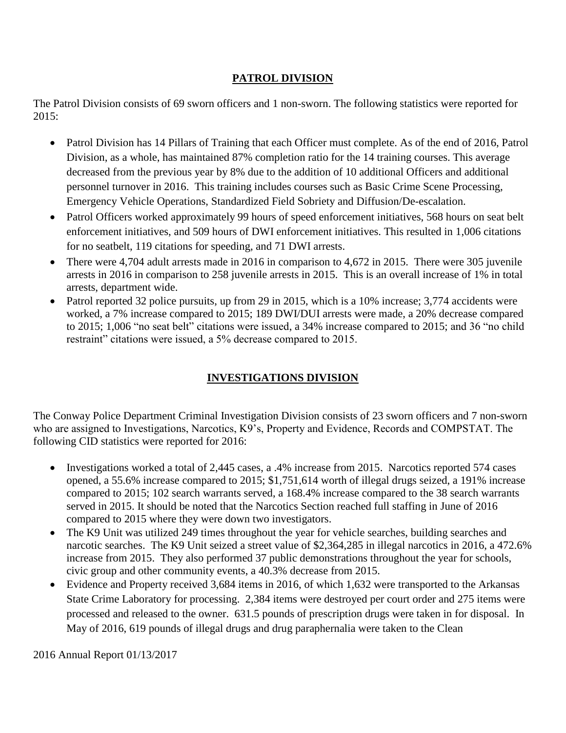# **PATROL DIVISION**

The Patrol Division consists of 69 sworn officers and 1 non-sworn. The following statistics were reported for 2015:

- Patrol Division has 14 Pillars of Training that each Officer must complete. As of the end of 2016, Patrol Division, as a whole, has maintained 87% completion ratio for the 14 training courses. This average decreased from the previous year by 8% due to the addition of 10 additional Officers and additional personnel turnover in 2016. This training includes courses such as Basic Crime Scene Processing, Emergency Vehicle Operations, Standardized Field Sobriety and Diffusion/De-escalation.
- Patrol Officers worked approximately 99 hours of speed enforcement initiatives, 568 hours on seat belt enforcement initiatives, and 509 hours of DWI enforcement initiatives. This resulted in 1,006 citations for no seatbelt, 119 citations for speeding, and 71 DWI arrests.
- There were 4,704 adult arrests made in 2016 in comparison to 4,672 in 2015. There were 305 juvenile arrests in 2016 in comparison to 258 juvenile arrests in 2015. This is an overall increase of 1% in total arrests, department wide.
- Patrol reported 32 police pursuits, up from 29 in 2015, which is a 10% increase; 3,774 accidents were worked, a 7% increase compared to 2015; 189 DWI/DUI arrests were made, a 20% decrease compared to 2015; 1,006 "no seat belt" citations were issued, a 34% increase compared to 2015; and 36 "no child restraint" citations were issued, a 5% decrease compared to 2015.

# **INVESTIGATIONS DIVISION**

The Conway Police Department Criminal Investigation Division consists of 23 sworn officers and 7 non-sworn who are assigned to Investigations, Narcotics, K9's, Property and Evidence, Records and COMPSTAT. The following CID statistics were reported for 2016:

- Investigations worked a total of 2,445 cases, a .4% increase from 2015. Narcotics reported 574 cases opened, a 55.6% increase compared to 2015; \$1,751,614 worth of illegal drugs seized, a 191% increase compared to 2015; 102 search warrants served, a 168.4% increase compared to the 38 search warrants served in 2015. It should be noted that the Narcotics Section reached full staffing in June of 2016 compared to 2015 where they were down two investigators.
- The K9 Unit was utilized 249 times throughout the year for vehicle searches, building searches and narcotic searches. The K9 Unit seized a street value of \$2,364,285 in illegal narcotics in 2016, a 472.6% increase from 2015. They also performed 37 public demonstrations throughout the year for schools, civic group and other community events, a 40.3% decrease from 2015.
- Evidence and Property received 3,684 items in 2016, of which 1,632 were transported to the Arkansas State Crime Laboratory for processing. 2,384 items were destroyed per court order and 275 items were processed and released to the owner. 631.5 pounds of prescription drugs were taken in for disposal. In May of 2016, 619 pounds of illegal drugs and drug paraphernalia were taken to the Clean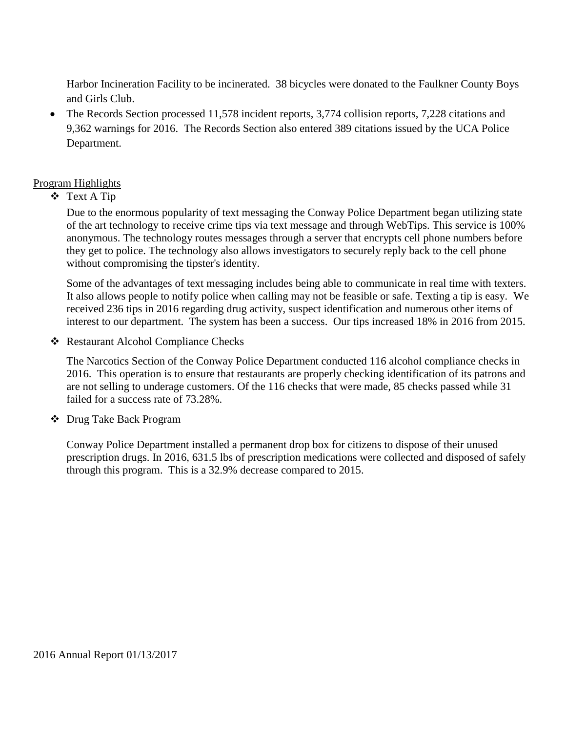Harbor Incineration Facility to be incinerated. 38 bicycles were donated to the Faulkner County Boys and Girls Club.

• The Records Section processed 11,578 incident reports, 3,774 collision reports, 7,228 citations and 9,362 warnings for 2016. The Records Section also entered 389 citations issued by the UCA Police Department.

#### Program Highlights

Text A Tip

Due to the enormous popularity of text messaging the Conway Police Department began utilizing state of the art technology to receive crime tips via text message and through WebTips. This service is 100% anonymous. The technology routes messages through a server that encrypts cell phone numbers before they get to police. The technology also allows investigators to securely reply back to the cell phone without compromising the tipster's identity.

Some of the advantages of text messaging includes being able to communicate in real time with texters. It also allows people to notify police when calling may not be feasible or safe. Texting a tip is easy. We received 236 tips in 2016 regarding drug activity, suspect identification and numerous other items of interest to our department. The system has been a success. Our tips increased 18% in 2016 from 2015.

❖ Restaurant Alcohol Compliance Checks

The Narcotics Section of the Conway Police Department conducted 116 alcohol compliance checks in 2016. This operation is to ensure that restaurants are properly checking identification of its patrons and are not selling to underage customers. Of the 116 checks that were made, 85 checks passed while 31 failed for a success rate of 73.28%.

Drug Take Back Program

Conway Police Department installed a permanent drop box for citizens to dispose of their unused prescription drugs. In 2016, 631.5 lbs of prescription medications were collected and disposed of safely through this program. This is a 32.9% decrease compared to 2015.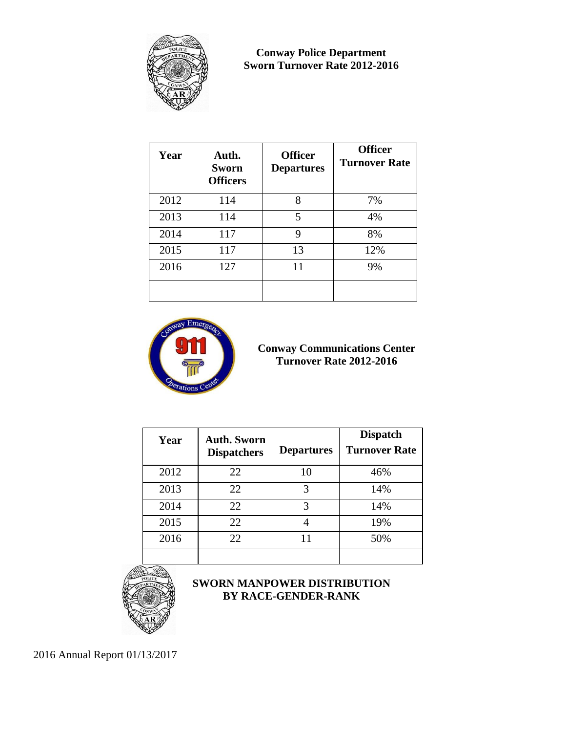

**Conway Police Department Sworn Turnover Rate 2012-2016**

| Year | Auth.<br><b>Sworn</b><br><b>Officers</b> | <b>Officer</b><br><b>Departures</b> | <b>Officer</b><br><b>Turnover Rate</b> |
|------|------------------------------------------|-------------------------------------|----------------------------------------|
| 2012 | 114                                      | 8                                   | 7%                                     |
| 2013 | 114                                      | 5                                   | 4%                                     |
| 2014 | 117                                      | 9                                   | 8%                                     |
| 2015 | 117                                      | 13                                  | 12%                                    |
| 2016 | 127                                      | 11                                  | 9%                                     |
|      |                                          |                                     |                                        |



**Conway Communications Center Turnover Rate 2012-2016**

| Year | <b>Auth. Sworn</b><br><b>Dispatchers</b> | <b>Departures</b> | <b>Dispatch</b><br><b>Turnover Rate</b> |
|------|------------------------------------------|-------------------|-----------------------------------------|
| 2012 | 22                                       | 10                | 46%                                     |
| 2013 | 22                                       | 3                 | 14%                                     |
| 2014 | 22                                       | 3                 | 14%                                     |
| 2015 | 22                                       |                   | 19%                                     |
| 2016 | 22                                       | 11                | 50%                                     |
|      |                                          |                   |                                         |



# **SWORN MANPOWER DISTRIBUTION BY RACE-GENDER-RANK**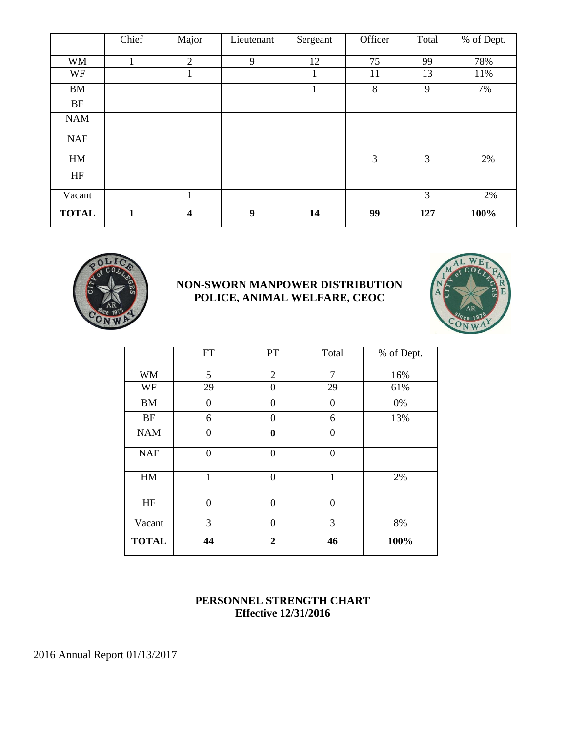|              | Chief | Major                   | Lieutenant | Sergeant     | Officer | Total | % of Dept. |
|--------------|-------|-------------------------|------------|--------------|---------|-------|------------|
|              |       |                         |            |              |         |       |            |
| <b>WM</b>    |       | $\overline{2}$          | 9          | 12           | 75      | 99    | 78%        |
| WF           |       | $\bf{l}$                |            | $\mathbf{I}$ | 11      | 13    | 11%        |
| <b>BM</b>    |       |                         |            | $\mathbf{I}$ | 8       | 9     | 7%         |
| BF           |       |                         |            |              |         |       |            |
| <b>NAM</b>   |       |                         |            |              |         |       |            |
| <b>NAF</b>   |       |                         |            |              |         |       |            |
| HM           |       |                         |            |              | 3       | 3     | 2%         |
| HF           |       |                         |            |              |         |       |            |
| Vacant       |       | 1                       |            |              |         | 3     | 2%         |
| <b>TOTAL</b> | 1     | $\overline{\mathbf{4}}$ | 9          | 14           | 99      | 127   | 100%       |



# **NON-SWORN MANPOWER DISTRIBUTION POLICE, ANIMAL WELFARE, CEOC**



|              | ${\rm FT}$       | PT               | Total            | % of Dept. |
|--------------|------------------|------------------|------------------|------------|
| <b>WM</b>    | 5                | $\overline{2}$   | $\overline{7}$   | 16%        |
| WF           | 29               | $\overline{0}$   | 29               | 61%        |
| <b>BM</b>    | $\boldsymbol{0}$ | $\boldsymbol{0}$ | $\boldsymbol{0}$ | 0%         |
| BF           | 6                | $\overline{0}$   | 6                | 13%        |
| <b>NAM</b>   | $\overline{0}$   | $\bf{0}$         | $\overline{0}$   |            |
| <b>NAF</b>   | $\overline{0}$   | $\overline{0}$   | $\overline{0}$   |            |
| HM           | $\mathbf{1}$     | $\Omega$         | $\mathbf{1}$     | 2%         |
| HF           | $\overline{0}$   | $\overline{0}$   | $\overline{0}$   |            |
| Vacant       | 3                | $\overline{0}$   | 3                | 8%         |
| <b>TOTAL</b> | 44               | $\overline{2}$   | 46               | 100%       |

### **PERSONNEL STRENGTH CHART Effective 12/31/2016**